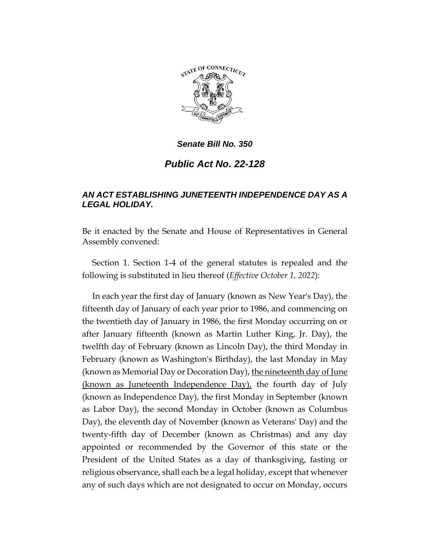

*Senate Bill No. 350*

*Public Act No. 22-128*

## *AN ACT ESTABLISHING JUNETEENTH INDEPENDENCE DAY AS A LEGAL HOLIDAY.*

Be it enacted by the Senate and House of Representatives in General Assembly convened:

Section 1. Section 1-4 of the general statutes is repealed and the following is substituted in lieu thereof (*Effective October 1, 2022*):

In each year the first day of January (known as New Year's Day), the fifteenth day of January of each year prior to 1986, and commencing on the twentieth day of January in 1986, the first Monday occurring on or after January fifteenth (known as Martin Luther King, Jr. Day), the twelfth day of February (known as Lincoln Day), the third Monday in February (known as Washington's Birthday), the last Monday in May (known as Memorial Day or Decoration Day), the nineteenth day of June (known as Juneteenth Independence Day), the fourth day of July (known as Independence Day), the first Monday in September (known as Labor Day), the second Monday in October (known as Columbus Day), the eleventh day of November (known as Veterans' Day) and the twenty-fifth day of December (known as Christmas) and any day appointed or recommended by the Governor of this state or the President of the United States as a day of thanksgiving, fasting or religious observance, shall each be a legal holiday, except that whenever any of such days which are not designated to occur on Monday, occurs